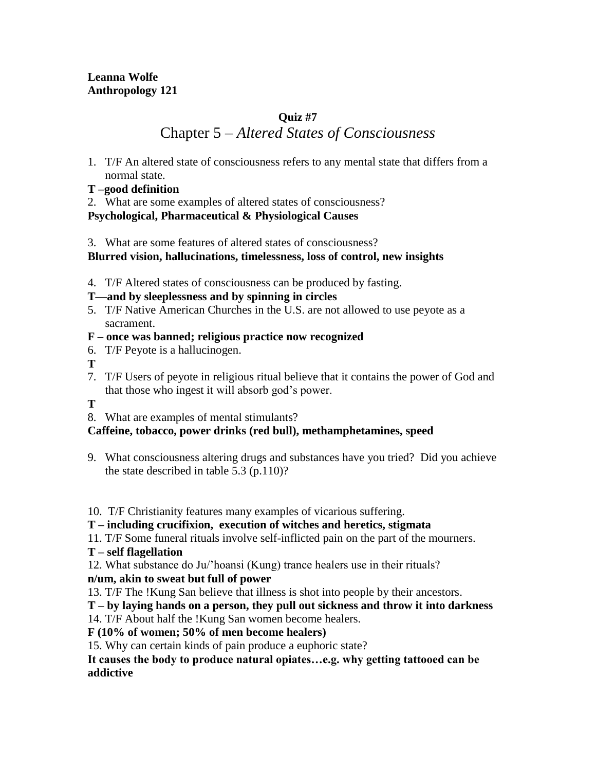# **Quiz #7**

# Chapter 5 – *Altered States of Consciousness*

- 1. T/F An altered state of consciousness refers to any mental state that differs from a normal state.
- **T –good definition**
- 2. What are some examples of altered states of consciousness?

### **Psychological, Pharmaceutical & Physiological Causes**

3. What are some features of altered states of consciousness?

### **Blurred vision, hallucinations, timelessness, loss of control, new insights**

4. T/F Altered states of consciousness can be produced by fasting.

# **T—and by sleeplessness and by spinning in circles**

- 5. T/F Native American Churches in the U.S. are not allowed to use peyote as a sacrament.
- **F – once was banned; religious practice now recognized**
- 6. T/F Peyote is a hallucinogen.
- **T**
- 7. T/F Users of peyote in religious ritual believe that it contains the power of God and that those who ingest it will absorb god's power.
- **T**
- 8. What are examples of mental stimulants?

# **Caffeine, tobacco, power drinks (red bull), methamphetamines, speed**

- 9. What consciousness altering drugs and substances have you tried? Did you achieve the state described in table 5.3 (p.110)?
- 10. T/F Christianity features many examples of vicarious suffering.
- **T – including crucifixion, execution of witches and heretics, stigmata**
- 11. T/F Some funeral rituals involve self-inflicted pain on the part of the mourners.
- **T – self flagellation**

12. What substance do Ju/'hoansi (Kung) trance healers use in their rituals?

# **n/um, akin to sweat but full of power**

13. T/F The !Kung San believe that illness is shot into people by their ancestors.

# **T – by laying hands on a person, they pull out sickness and throw it into darkness**

14. T/F About half the !Kung San women become healers.

# **F (10% of women; 50% of men become healers)**

15. Why can certain kinds of pain produce a euphoric state?

#### **It causes the body to produce natural opiates…e.g. why getting tattooed can be addictive**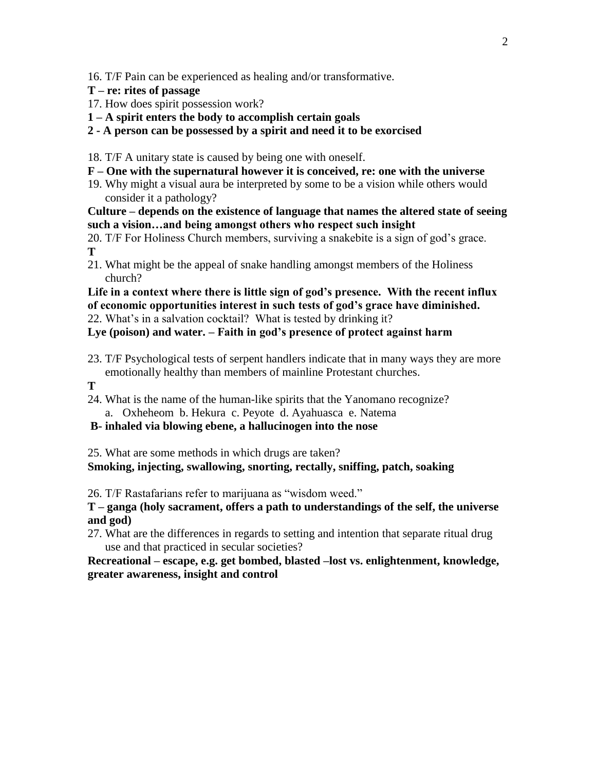16. T/F Pain can be experienced as healing and/or transformative.

- **T – re: rites of passage**
- 17. How does spirit possession work?
- **1 – A spirit enters the body to accomplish certain goals**

#### **2 - A person can be possessed by a spirit and need it to be exorcised**

- 18. T/F A unitary state is caused by being one with oneself.
- **F – One with the supernatural however it is conceived, re: one with the universe**
- 19. Why might a visual aura be interpreted by some to be a vision while others would consider it a pathology?

**Culture – depends on the existence of language that names the altered state of seeing such a vision…and being amongst others who respect such insight**

20. T/F For Holiness Church members, surviving a snakebite is a sign of god's grace. **T**

21. What might be the appeal of snake handling amongst members of the Holiness church?

**Life in a context where there is little sign of god's presence. With the recent influx of economic opportunities interest in such tests of god's grace have diminished.**

22. What's in a salvation cocktail? What is tested by drinking it?

**Lye (poison) and water. – Faith in god's presence of protect against harm**

- 23. T/F Psychological tests of serpent handlers indicate that in many ways they are more emotionally healthy than members of mainline Protestant churches.
- **T**
- 24. What is the name of the human-like spirits that the Yanomano recognize? a. Oxheheom b. Hekura c. Peyote d. Ayahuasca e. Natema

#### **B- inhaled via blowing ebene, a hallucinogen into the nose**

25. What are some methods in which drugs are taken?

**Smoking, injecting, swallowing, snorting, rectally, sniffing, patch, soaking**

26. T/F Rastafarians refer to marijuana as "wisdom weed."

**T – ganga (holy sacrament, offers a path to understandings of the self, the universe and god)**

27. What are the differences in regards to setting and intention that separate ritual drug use and that practiced in secular societies?

**Recreational – escape, e.g. get bombed, blasted –lost vs. enlightenment, knowledge, greater awareness, insight and control**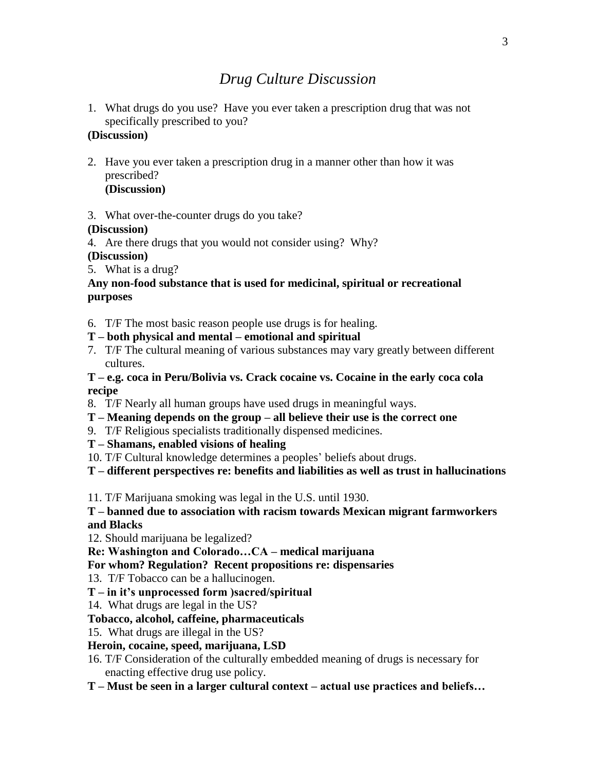# *Drug Culture Discussion*

1. What drugs do you use? Have you ever taken a prescription drug that was not specifically prescribed to you?

# **(Discussion)**

- 2. Have you ever taken a prescription drug in a manner other than how it was prescribed? **(Discussion)**
- 3. What over-the-counter drugs do you take?

#### **(Discussion)**

- 4. Are there drugs that you would not consider using? Why?
- **(Discussion)**
- 5. What is a drug?

#### **Any non-food substance that is used for medicinal, spiritual or recreational purposes**

- 6. T/F The most basic reason people use drugs is for healing.
- **T – both physical and mental – emotional and spiritual**
- 7. T/F The cultural meaning of various substances may vary greatly between different cultures.

**T – e.g. coca in Peru/Bolivia vs. Crack cocaine vs. Cocaine in the early coca cola recipe**

- 8. T/F Nearly all human groups have used drugs in meaningful ways.
- **T – Meaning depends on the group – all believe their use is the correct one**
- 9. T/F Religious specialists traditionally dispensed medicines.
- **T – Shamans, enabled visions of healing**
- 10. T/F Cultural knowledge determines a peoples' beliefs about drugs.

**T – different perspectives re: benefits and liabilities as well as trust in hallucinations**

11. T/F Marijuana smoking was legal in the U.S. until 1930.

**T – banned due to association with racism towards Mexican migrant farmworkers and Blacks**

12. Should marijuana be legalized?

**Re: Washington and Colorado…CA – medical marijuana**

- **For whom? Regulation? Recent propositions re: dispensaries**
- 13. T/F Tobacco can be a hallucinogen.
- **T – in it's unprocessed form )sacred/spiritual**
- 14. What drugs are legal in the US?

# **Tobacco, alcohol, caffeine, pharmaceuticals**

15. What drugs are illegal in the US?

# **Heroin, cocaine, speed, marijuana, LSD**

- 16. T/F Consideration of the culturally embedded meaning of drugs is necessary for enacting effective drug use policy.
- **T – Must be seen in a larger cultural context – actual use practices and beliefs…**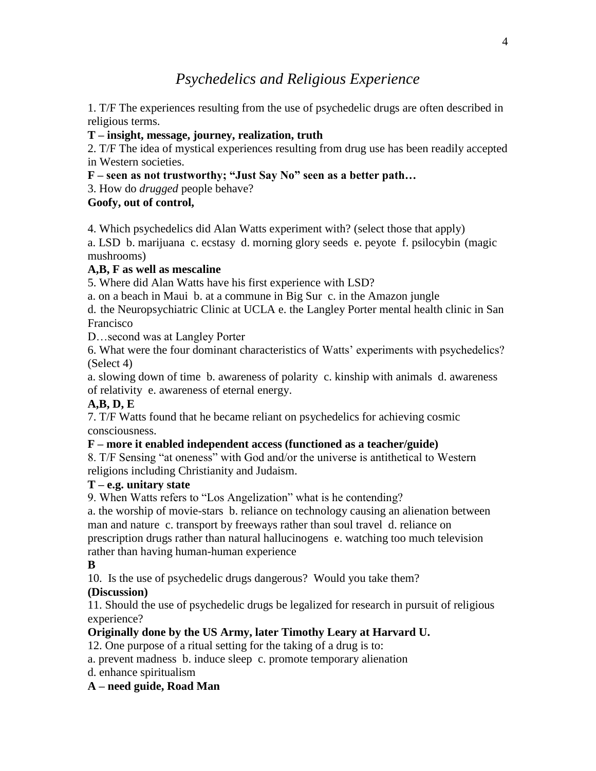# *Psychedelics and Religious Experience*

1. T/F The experiences resulting from the use of psychedelic drugs are often described in religious terms.

#### **T – insight, message, journey, realization, truth**

2. T/F The idea of mystical experiences resulting from drug use has been readily accepted in Western societies.

### **F – seen as not trustworthy; "Just Say No" seen as a better path…**

3. How do *drugged* people behave?

### **Goofy, out of control,**

4. Which psychedelics did Alan Watts experiment with? (select those that apply)

a. LSD b. marijuana c. ecstasy d. morning glory seeds e. peyote f. psilocybin (magic mushrooms)

# **A,B, F as well as mescaline**

5. Where did Alan Watts have his first experience with LSD?

a. on a beach in Maui b. at a commune in Big Sur c. in the Amazon jungle

d. the Neuropsychiatric Clinic at UCLA e. the Langley Porter mental health clinic in San Francisco

D…second was at Langley Porter

6. What were the four dominant characteristics of Watts' experiments with psychedelics? (Select 4)

a. slowing down of time b. awareness of polarity c. kinship with animals d. awareness of relativity e. awareness of eternal energy.

# **A,B, D, E**

7. T/F Watts found that he became reliant on psychedelics for achieving cosmic consciousness.

# **F – more it enabled independent access (functioned as a teacher/guide)**

8. T/F Sensing "at oneness" with God and/or the universe is antithetical to Western religions including Christianity and Judaism.

#### **T – e.g. unitary state**

9. When Watts refers to "Los Angelization" what is he contending?

a. the worship of movie-stars b. reliance on technology causing an alienation between man and nature c. transport by freeways rather than soul travel d. reliance on prescription drugs rather than natural hallucinogens e. watching too much television rather than having human-human experience

# **B**

10. Is the use of psychedelic drugs dangerous? Would you take them?

# **(Discussion)**

11. Should the use of psychedelic drugs be legalized for research in pursuit of religious experience?

# **Originally done by the US Army, later Timothy Leary at Harvard U.**

12. One purpose of a ritual setting for the taking of a drug is to:

a. prevent madness b. induce sleep c. promote temporary alienation

d. enhance spiritualism

# **A – need guide, Road Man**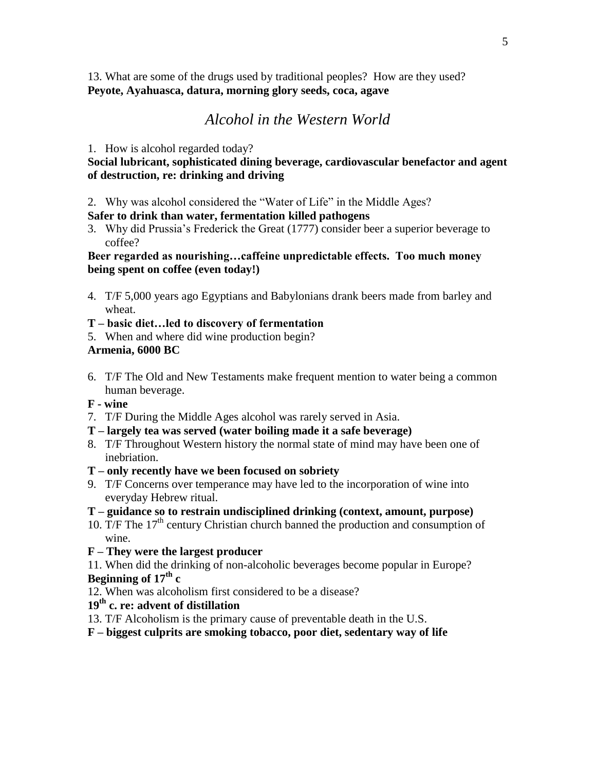13. What are some of the drugs used by traditional peoples? How are they used? **Peyote, Ayahuasca, datura, morning glory seeds, coca, agave**

# *Alcohol in the Western World*

#### 1. How is alcohol regarded today?

#### **Social lubricant, sophisticated dining beverage, cardiovascular benefactor and agent of destruction, re: drinking and driving**

2. Why was alcohol considered the "Water of Life" in the Middle Ages?

#### **Safer to drink than water, fermentation killed pathogens**

3. Why did Prussia's Frederick the Great (1777) consider beer a superior beverage to coffee?

#### **Beer regarded as nourishing…caffeine unpredictable effects. Too much money being spent on coffee (even today!)**

- 4. T/F 5,000 years ago Egyptians and Babylonians drank beers made from barley and wheat.
- **T – basic diet…led to discovery of fermentation**
- 5. When and where did wine production begin?

#### **Armenia, 6000 BC**

6. T/F The Old and New Testaments make frequent mention to water being a common human beverage.

#### **F - wine**

- 7. T/F During the Middle Ages alcohol was rarely served in Asia.
- **T – largely tea was served (water boiling made it a safe beverage)**
- 8. T/F Throughout Western history the normal state of mind may have been one of inebriation.
- **T – only recently have we been focused on sobriety**
- 9. T/F Concerns over temperance may have led to the incorporation of wine into everyday Hebrew ritual.
- **T – guidance so to restrain undisciplined drinking (context, amount, purpose)**
- 10. T/F The 17<sup>th</sup> century Christian church banned the production and consumption of wine.
- **F – They were the largest producer**
- 11. When did the drinking of non-alcoholic beverages become popular in Europe? **Beginning of 17th c**
- 12. When was alcoholism first considered to be a disease?
- **19th c. re: advent of distillation**
- 13. T/F Alcoholism is the primary cause of preventable death in the U.S.
- **F – biggest culprits are smoking tobacco, poor diet, sedentary way of life**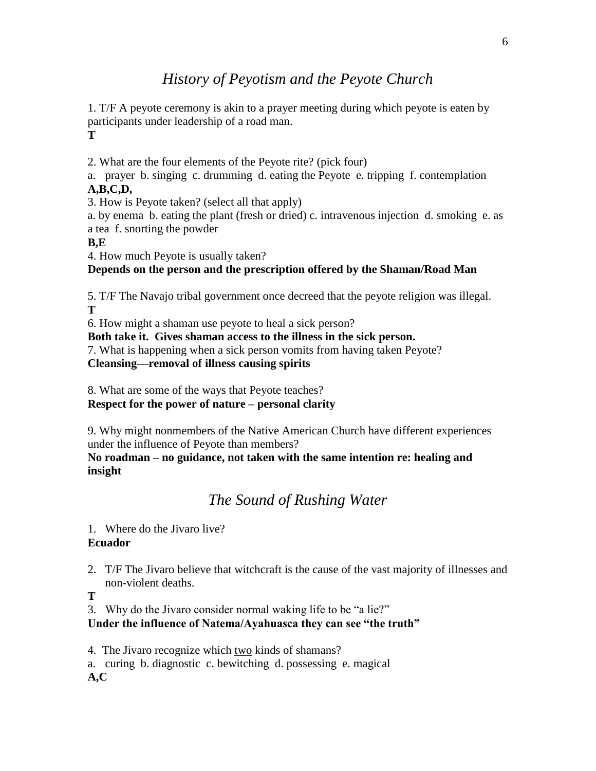# *History of Peyotism and the Peyote Church*

1. T/F A peyote ceremony is akin to a prayer meeting during which peyote is eaten by participants under leadership of a road man. **T**

2. What are the four elements of the Peyote rite? (pick four)

a. prayer b. singing c. drumming d. eating the Peyote e. tripping f. contemplation **A,B,C,D,**

3. How is Peyote taken? (select all that apply)

a. by enema b. eating the plant (fresh or dried) c. intravenous injection d. smoking e. as a tea f. snorting the powder

#### **B,E**

4. How much Peyote is usually taken?

### **Depends on the person and the prescription offered by the Shaman/Road Man**

5. T/F The Navajo tribal government once decreed that the peyote religion was illegal. **T**

6. How might a shaman use peyote to heal a sick person?

**Both take it. Gives shaman access to the illness in the sick person.** 

7. What is happening when a sick person vomits from having taken Peyote? **Cleansing—removal of illness causing spirits**

8. What are some of the ways that Peyote teaches?

**Respect for the power of nature – personal clarity**

9. Why might nonmembers of the Native American Church have different experiences under the influence of Peyote than members?

**No roadman – no guidance, not taken with the same intention re: healing and insight**

# *The Sound of Rushing Water*

1. Where do the Jivaro live?

#### **Ecuador**

2. T/F The Jivaro believe that witchcraft is the cause of the vast majority of illnesses and non-violent deaths.

**T**

3. Why do the Jivaro consider normal waking life to be "a lie?"

**Under the influence of Natema/Ayahuasca they can see "the truth"**

4. The Jivaro recognize which two kinds of shamans?

a. curing b. diagnostic c. bewitching d. possessing e. magical **A,C**